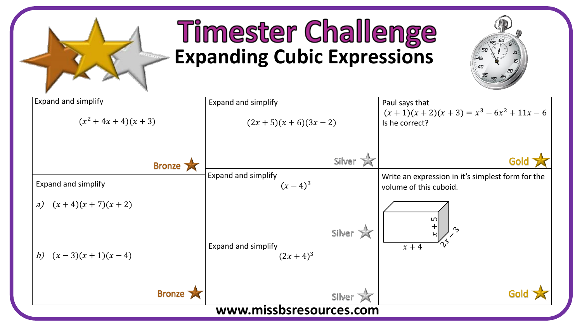

## **Timester Challenge Expanding Cubic Expressions**